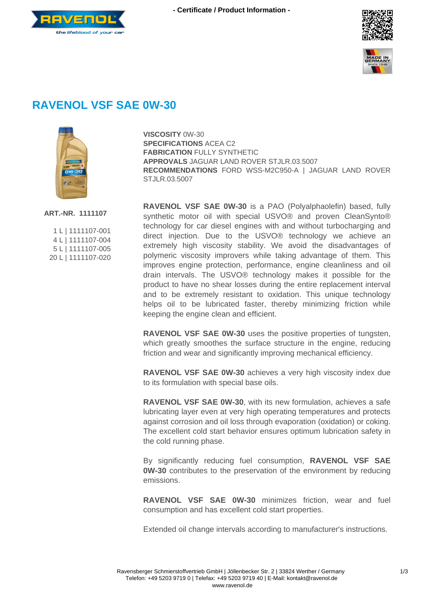





## **RAVENOL VSF SAE 0W-30**



**VISCOSITY** 0W-30 **SPECIFICATIONS** ACEA C2 **FABRICATION** FULLY SYNTHETIC **APPROVALS** JAGUAR LAND ROVER STJLR.03.5007 **RECOMMENDATIONS** FORD WSS-M2C950-A | JAGUAR LAND ROVER STJLR.03.5007

**ART.-NR. 1111107**

| 1L   1111107-001  |
|-------------------|
| 4 L   1111107-004 |
| 5L   1111107-005  |
| 20L 1111107-020   |

**RAVENOL VSF SAE 0W-30** is a PAO (Polyalphaolefin) based, fully synthetic motor oil with special USVO® and proven CleanSynto® technology for car diesel engines with and without turbocharging and direct injection. Due to the USVO® technology we achieve an extremely high viscosity stability. We avoid the disadvantages of polymeric viscosity improvers while taking advantage of them. This improves engine protection, performance, engine cleanliness and oil drain intervals. The USVO® technology makes it possible for the product to have no shear losses during the entire replacement interval and to be extremely resistant to oxidation. This unique technology helps oil to be lubricated faster, thereby minimizing friction while keeping the engine clean and efficient.

**RAVENOL VSF SAE 0W-30** uses the positive properties of tungsten, which greatly smoothes the surface structure in the engine, reducing friction and wear and significantly improving mechanical efficiency.

**RAVENOL VSF SAE 0W-30** achieves a very high viscosity index due to its formulation with special base oils.

**RAVENOL VSF SAE 0W-30**, with its new formulation, achieves a safe lubricating layer even at very high operating temperatures and protects against corrosion and oil loss through evaporation (oxidation) or coking. The excellent cold start behavior ensures optimum lubrication safety in the cold running phase.

By significantly reducing fuel consumption, **RAVENOL VSF SAE 0W-30** contributes to the preservation of the environment by reducing emissions.

**RAVENOL VSF SAE 0W-30** minimizes friction, wear and fuel consumption and has excellent cold start properties.

Extended oil change intervals according to manufacturer's instructions.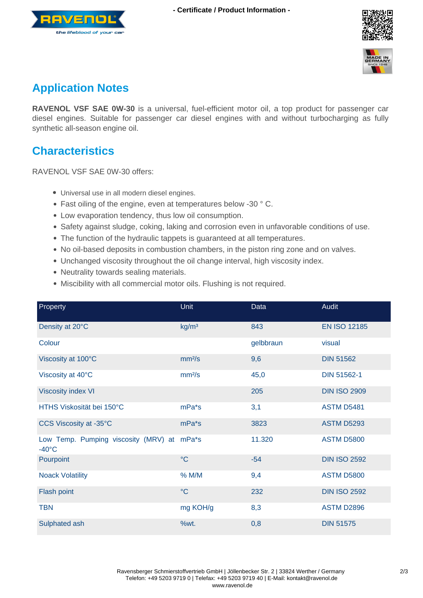





## **Application Notes**

**RAVENOL VSF SAE 0W-30** is a universal, fuel-efficient motor oil, a top product for passenger car diesel engines. Suitable for passenger car diesel engines with and without turbocharging as fully synthetic all-season engine oil.

## **Characteristics**

RAVENOL VSF SAE 0W-30 offers:

- Universal use in all modern diesel engines.
- Fast oiling of the engine, even at temperatures below -30 ° C.
- Low evaporation tendency, thus low oil consumption.
- Safety against sludge, coking, laking and corrosion even in unfavorable conditions of use.
- The function of the hydraulic tappets is guaranteed at all temperatures.
- No oil-based deposits in combustion chambers, in the piston ring zone and on valves.
- Unchanged viscosity throughout the oil change interval, high viscosity index.
- Neutrality towards sealing materials.
- Miscibility with all commercial motor oils. Flushing is not required.

| Property                                                      | <b>Unit</b>        | Data      | Audit               |
|---------------------------------------------------------------|--------------------|-----------|---------------------|
| Density at 20°C                                               | kg/m <sup>3</sup>  | 843       | <b>EN ISO 12185</b> |
| Colour                                                        |                    | gelbbraun | visual              |
| Viscosity at 100°C                                            | mm <sup>2</sup> /s | 9,6       | <b>DIN 51562</b>    |
| Viscosity at 40°C                                             | mm <sup>2</sup> /s | 45,0      | <b>DIN 51562-1</b>  |
| <b>Viscosity index VI</b>                                     |                    | 205       | <b>DIN ISO 2909</b> |
| HTHS Viskosität bei 150°C                                     | mPa*s              | 3,1       | <b>ASTM D5481</b>   |
| CCS Viscosity at -35°C                                        | mPa <sup>*</sup> s | 3823      | <b>ASTM D5293</b>   |
| Low Temp. Pumping viscosity (MRV) at mPa*s<br>$-40^{\circ}$ C |                    | 11.320    | <b>ASTM D5800</b>   |
| Pourpoint                                                     | $\rm ^{\circ}C$    | $-54$     | <b>DIN ISO 2592</b> |
| <b>Noack Volatility</b>                                       | % M/M              | 9,4       | <b>ASTM D5800</b>   |
| Flash point                                                   | $\rm ^{\circ}C$    | 232       | <b>DIN ISO 2592</b> |
| <b>TBN</b>                                                    | mg KOH/g           | 8,3       | <b>ASTM D2896</b>   |
| Sulphated ash                                                 | %wt.               | 0,8       | <b>DIN 51575</b>    |